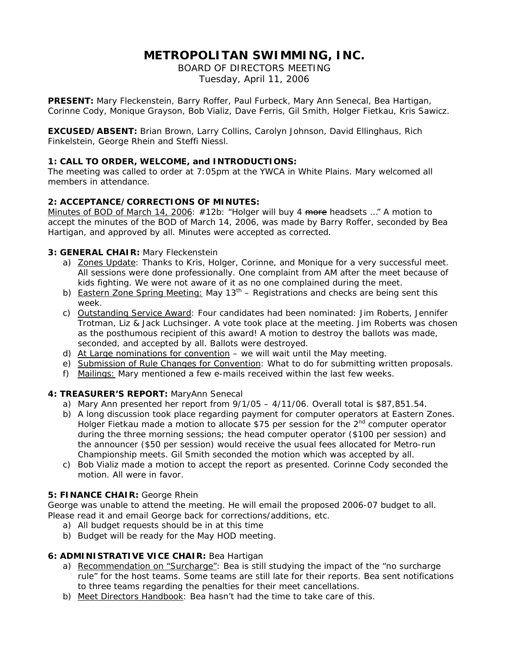# **METROPOLITAN SWIMMING, INC.**

BOARD OF DIRECTORS MEETING Tuesday, April 11, 2006

**PRESENT:** Mary Fleckenstein, Barry Roffer, Paul Furbeck, Mary Ann Senecal, Bea Hartigan, Corinne Cody, Monique Grayson, Bob Vializ, Dave Ferris, Gil Smith, Holger Fietkau, Kris Sawicz.

**EXCUSED/ABSENT:** Brian Brown, Larry Collins, Carolyn Johnson, David Ellinghaus, Rich Finkelstein, George Rhein and Steffi Niessl.

# **1: CALL TO ORDER, WELCOME, and INTRODUCTIONS:**

The meeting was called to order at 7:05pm at the YWCA in White Plains. Mary welcomed all members in attendance.

# **2: ACCEPTANCE/CORRECTIONS OF MINUTES:**

Minutes of BOD of March 14, 2006: #12b: "*Holger will buy 4 more headsets …"* A motion to accept the minutes of the BOD of March 14, 2006, was made by Barry Roffer, seconded by Bea Hartigan, and approved by all. Minutes were accepted as corrected.

# **3: GENERAL CHAIR:** Mary Fleckenstein

- a) Zones Update: Thanks to Kris, Holger, Corinne, and Monique for a very successful meet. All sessions were done professionally. One complaint from AM after the meet because of kids fighting. We were not aware of it as no one complained during the meet.
- b) Eastern Zone Spring Meeting: May  $13<sup>th</sup>$  Registrations and checks are being sent this week.
- c) Outstanding Service Award: Four candidates had been nominated: Jim Roberts, Jennifer Trotman, Liz & Jack Luchsinger. A vote took place at the meeting. Jim Roberts was chosen as the posthumous recipient of this award! A motion to destroy the ballots was made, seconded, and accepted by all. Ballots were destroyed.
- d) At Large nominations for convention we will wait until the May meeting.
- e) Submission of Rule Changes for Convention: What to do for submitting written proposals.
- f) Mailings: Mary mentioned a few e-mails received within the last few weeks.

# **4: TREASURER'S REPORT:** MaryAnn Senecal

- a) Mary Ann presented her report from  $9/1/05 4/11/06$ . Overall total is \$87,851.54.
- b) A long discussion took place regarding payment for computer operators at Eastern Zones. Holger Fietkau made a motion to allocate \$75 per session for the  $2<sup>nd</sup>$  computer operator during the three morning sessions; the head computer operator (\$100 per session) and the announcer (\$50 per session) would receive the usual fees allocated for Metro-run Championship meets. Gil Smith seconded the motion which was accepted by all.
- c) Bob Vializ made a motion to accept the report as presented. Corinne Cody seconded the motion. All were in favor.

# **5: FINANCE CHAIR:** George Rhein

George was unable to attend the meeting. He will email the proposed 2006-07 budget to all. Please read it and email George back for corrections/additions, etc.

- a) All budget requests should be in at this time
- b) Budget will be ready for the May HOD meeting.

# **6: ADMINISTRATIVE VICE CHAIR:** Bea Hartigan

- a) Recommendation on "Surcharge": Bea is still studying the impact of the "no surcharge rule" for the host teams. Some teams are still late for their reports. Bea sent notifications to three teams regarding the penalties for their meet cancellations.
- b) Meet Directors Handbook: Bea hasn't had the time to take care of this.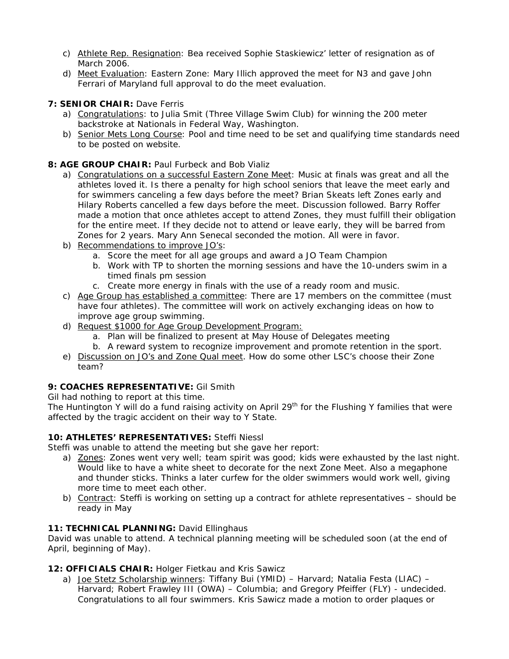- c) Athlete Rep. Resignation: Bea received Sophie Staskiewicz' letter of resignation as of March 2006.
- d) Meet Evaluation: Eastern Zone: Mary Illich approved the meet for N3 and gave John Ferrari of Maryland full approval to do the meet evaluation.

# **7: SENIOR CHAIR:** Dave Ferris

- a) Congratulations: to Julia Smit (Three Village Swim Club) for winning the 200 meter backstroke at Nationals in Federal Way, Washington.
- b) Senior Mets Long Course: Pool and time need to be set and qualifying time standards need to be posted on website.

# **8: AGE GROUP CHAIR: Paul Furbeck and Bob Vializ**

- a) Congratulations on a successful Eastern Zone Meet: Music at finals was great and all the athletes loved it. Is there a penalty for high school seniors that leave the meet early and for swimmers canceling a few days before the meet? Brian Skeats left Zones early and Hilary Roberts cancelled a few days before the meet. Discussion followed. Barry Roffer made a motion that once athletes accept to attend Zones, they must fulfill their obligation for the entire meet. If they decide not to attend or leave early, they will be barred from Zones for 2 years. Mary Ann Senecal seconded the motion. All were in favor.
- b) Recommendations to improve JO's:
	- a. Score the meet for all age groups and award a JO Team Champion
	- b. Work with TP to shorten the morning sessions and have the 10-unders swim in a timed finals pm session
	- c. Create more energy in finals with the use of a ready room and music.
- c) Age Group has established a committee: There are 17 members on the committee (must have four athletes). The committee will work on actively exchanging ideas on how to improve age group swimming.
- d) Request \$1000 for Age Group Development Program:
	- a. Plan will be finalized to present at May House of Delegates meeting
	- b. A reward system to recognize improvement and promote retention in the sport.
- e) Discussion on JO's and Zone Qual meet. How do some other LSC's choose their Zone team?

# **9: COACHES REPRESENTATIVE:** Gil Smith

Gil had nothing to report at this time.

The Huntington Y will do a fund raising activity on April 29<sup>th</sup> for the Flushing Y families that were affected by the tragic accident on their way to Y State.

# **10: ATHLETES' REPRESENTATIVES:** Steffi Niessl

Steffi was unable to attend the meeting but she gave her report:

- a) Zones: Zones went very well; team spirit was good; kids were exhausted by the last night. Would like to have a white sheet to decorate for the next Zone Meet. Also a megaphone and thunder sticks. Thinks a later curfew for the older swimmers would work well, giving more time to meet each other.
- b) Contract: Steffi is working on setting up a contract for athlete representatives should be ready in May

# 11: TECHNICAL PLANNING: David Ellinghaus

David was unable to attend. A technical planning meeting will be scheduled soon (at the end of April, beginning of May).

# **12: OFFICIALS CHAIR:** Holger Fietkau and Kris Sawicz

a) Joe Stetz Scholarship winners: Tiffany Bui (YMID) – Harvard; Natalia Festa (LIAC) – Harvard; Robert Frawley III (OWA) – Columbia; and Gregory Pfeiffer (FLY) - undecided. Congratulations to all four swimmers. Kris Sawicz made a motion to order plaques or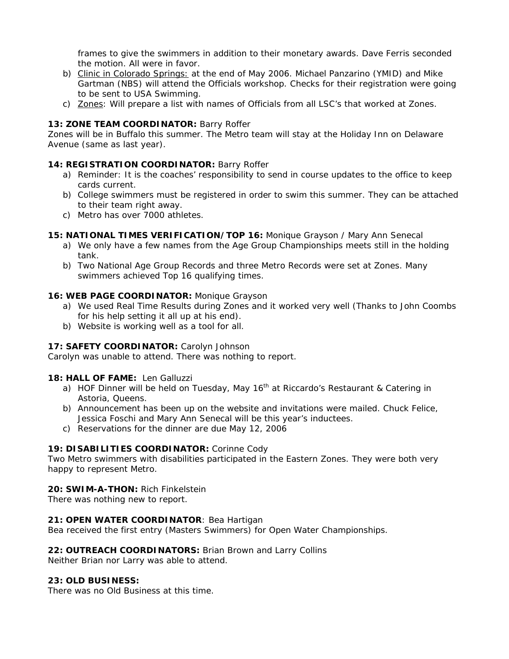frames to give the swimmers in addition to their monetary awards. Dave Ferris seconded the motion. All were in favor.

- b) Clinic in Colorado Springs: at the end of May 2006. Michael Panzarino (YMID) and Mike Gartman (NBS) will attend the Officials workshop. Checks for their registration were going to be sent to USA Swimming.
- c) Zones: Will prepare a list with names of Officials from all LSC's that worked at Zones.

# 13: **ZONE TEAM COORDINATOR:** Barry Roffer

Zones will be in Buffalo this summer. The Metro team will stay at the Holiday Inn on Delaware Avenue (same as last year).

# **14: REGISTRATION COORDINATOR:** Barry Roffer

- a) Reminder: It is the coaches' responsibility to send in course updates to the office to keep cards current.
- b) College swimmers must be registered in order to swim this summer. They can be attached to their team right away.
- c) Metro has over 7000 athletes.

# **15: NATIONAL TIMES VERIFICATION/TOP 16:** Monique Grayson / Mary Ann Senecal

- a) We only have a few names from the Age Group Championships meets still in the holding tank.
- b) Two National Age Group Records and three Metro Records were set at Zones. Many swimmers achieved Top 16 qualifying times.

# **16: WEB PAGE COORDINATOR:** Monique Grayson

- a) We used Real Time Results during Zones and it worked very well (Thanks to John Coombs for his help setting it all up at his end).
- b) Website is working well as a tool for all.

# 17: SAFETY COORDINATOR: Carolyn Johnson

Carolyn was unable to attend. There was nothing to report.

# **18: HALL OF FAME:** Len Galluzzi

- a) HOF Dinner will be held on Tuesday, May  $16<sup>th</sup>$  at Riccardo's Restaurant & Catering in Astoria, Queens.
- b) Announcement has been up on the website and invitations were mailed. Chuck Felice, Jessica Foschi and Mary Ann Senecal will be this year's inductees.
- c) Reservations for the dinner are due May 12, 2006

# **19: DISABILITIES COORDINATOR:** Corinne Cody

Two Metro swimmers with disabilities participated in the Eastern Zones. They were both very happy to represent Metro.

# **20: SWIM-A-THON:** Rich Finkelstein

There was nothing new to report.

# **21: OPEN WATER COORDINATOR**: Bea Hartigan

Bea received the first entry (Masters Swimmers) for Open Water Championships.

# **22: OUTREACH COORDINATORS:** Brian Brown and Larry Collins

Neither Brian nor Larry was able to attend.

#### **23: OLD BUSINESS:**

There was no Old Business at this time.